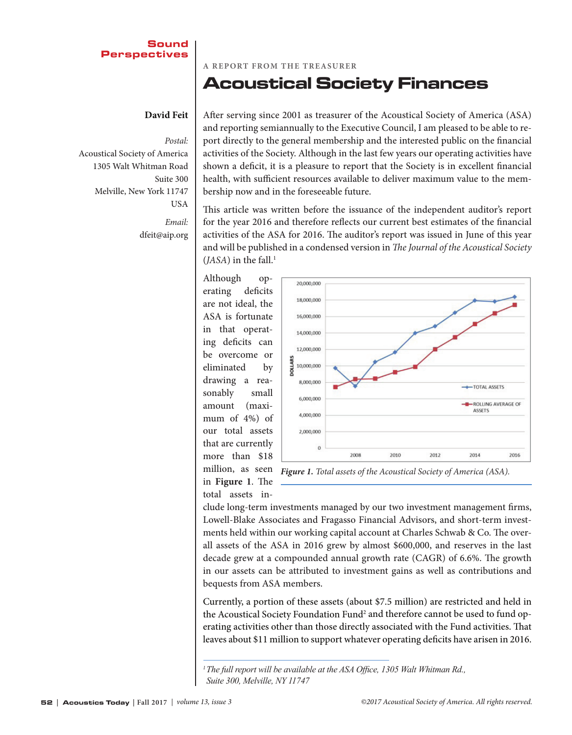#### **Sound Perspectives**

#### **David Feit**

*Postal:* Acoustical Society of America 1305 Walt Whitman Road Suite 300 Melville, New York 11747 USA

*Email:* dfeit@aip.org

**A REPORT FROM THE TREASURER**

## Acoustical Society Finances

After serving since 2001 as treasurer of the Acoustical Society of America (ASA) and reporting semiannually to the Executive Council, I am pleased to be able to report directly to the general membership and the interested public on the financial activities of the Society. Although in the last few years our operating activities have shown a deficit, it is a pleasure to report that the Society is in excellent financial health, with sufficient resources available to deliver maximum value to the membership now and in the foreseeable future.

This article was written before the issuance of the independent auditor's report for the year 2016 and therefore reflects our current best estimates of the financial activities of the ASA for 2016. The auditor's report was issued in June of this year and will be published in a condensed version in *The Journal of the Acoustical Society* (*JASA*) in the fall.<sup>1</sup>

Although operating deficits are not ideal, the ASA is fortunate in that operating deficits can be overcome or eliminated by drawing a reasonably small amount (maximum of 4%) of our total assets that are currently more than \$18 million, as seen in **Figure 1**. The

total assets in-



*Figure 1. Total assets of the Acoustical Society of America (ASA).*

clude long-term investments managed by our two investment management firms, Lowell-Blake Associates and Fragasso Financial Advisors, and short-term investments held within our working capital account at Charles Schwab & Co. The overall assets of the ASA in 2016 grew by almost \$600,000, and reserves in the last decade grew at a compounded annual growth rate (CAGR) of 6.6%. The growth in our assets can be attributed to investment gains as well as contributions and bequests from ASA members.

Currently, a portion of these assets (about \$7.5 million) are restricted and held in the Acoustical Society Foundation Fund<sup>2</sup> and therefore cannot be used to fund operating activities other than those directly associated with the Fund activities. That leaves about \$11 million to support whatever operating deficits have arisen in 2016.

<sup>&</sup>lt;sup>1</sup> The full report will be available at the ASA Office, 1305 Walt Whitman Rd., *Suite 300, Melville, NY 11747*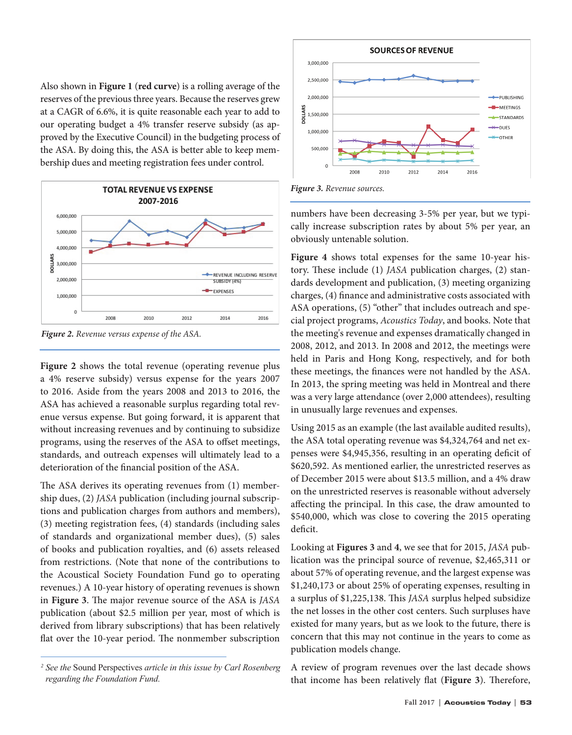Also shown in **Figure 1** (**red curve**) is a rolling average of the reserves of the previous three years. Because the reserves grew at a CAGR of 6.6%, it is quite reasonable each year to add to our operating budget a 4% transfer reserve subsidy (as approved by the Executive Council) in the budgeting process of the ASA. By doing this, the ASA is better able to keep membership dues and meeting registration fees under control.



*Figure 2. Revenue versus expense of the ASA.*

**Figure 2** shows the total revenue (operating revenue plus a 4% reserve subsidy) versus expense for the years 2007 to 2016. Aside from the years 2008 and 2013 to 2016, the ASA has achieved a reasonable surplus regarding total revenue versus expense. But going forward, it is apparent that without increasing revenues and by continuing to subsidize programs, using the reserves of the ASA to offset meetings, standards, and outreach expenses will ultimately lead to a deterioration of the financial position of the ASA.

The ASA derives its operating revenues from (1) membership dues, (2) *JASA* publication (including journal subscriptions and publication charges from authors and members), (3) meeting registration fees, (4) standards (including sales of standards and organizational member dues), (5) sales of books and publication royalties, and (6) assets released from restrictions. (Note that none of the contributions to the Acoustical Society Foundation Fund go to operating revenues.) A 10-year history of operating revenues is shown in Figure 3. The major revenue source of the ASA is JASA publication (about \$2.5 million per year, most of which is derived from library subscriptions) that has been relatively flat over the 10-year period. The nonmember subscription



*Figure 3. Revenue sources.*

numbers have been decreasing 3-5% per year, but we typically increase subscription rates by about 5% per year, an obviously untenable solution.

**Figure 4** shows total expenses for the same 10-year history. These include (1) *JASA* publication charges, (2) standards development and publication, (3) meeting organizing charges, (4) finance and administrative costs associated with ASA operations, (5) "other" that includes outreach and special project programs, *Acoustics Today*, and books. Note that the meeting's revenue and expenses dramatically changed in 2008, 2012, and 2013. In 2008 and 2012, the meetings were held in Paris and Hong Kong, respectively, and for both these meetings, the finances were not handled by the ASA. In 2013, the spring meeting was held in Montreal and there was a very large attendance (over 2,000 attendees), resulting in unusually large revenues and expenses.

Using 2015 as an example (the last available audited results), the ASA total operating revenue was \$4,324,764 and net expenses were \$4,945,356, resulting in an operating deficit of \$620,592. As mentioned earlier, the unrestricted reserves as of December 2015 were about \$13.5 million, and a 4% draw on the unrestricted reserves is reasonable without adversely affecting the principal. In this case, the draw amounted to \$540,000, which was close to covering the 2015 operating deficit.

Looking at **Figures 3** and **4**, we see that for 2015, *JASA* publication was the principal source of revenue, \$2,465,311 or about 57% of operating revenue, and the largest expense was \$1,240,173 or about 25% of operating expenses, resulting in a surplus of \$1,225,138. This *JASA* surplus helped subsidize the net losses in the other cost centers. Such surpluses have existed for many years, but as we look to the future, there is concern that this may not continue in the years to come as publication models change.

A review of program revenues over the last decade shows that income has been relatively flat (Figure 3). Therefore,

*<sup>2</sup>See the* Sound Perspectives *article in this issue by Carl Rosenberg regarding the Foundation Fund.*